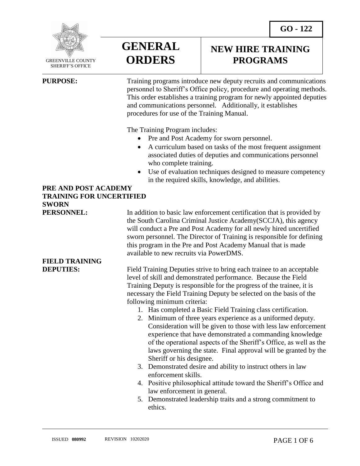

 GREENVILLE COUNTY SHERIFF'S OFFICE

 $\overline{a}$ 

**GENERAL ORDERS**

### **NEW HIRE TRAINING PROGRAMS**

**PURPOSE:** Training programs introduce new deputy recruits and communications personnel to Sheriff's Office policy, procedure and operating methods. This order establishes a training program for newly appointed deputies and communications personnel. Additionally, it establishes procedures for use of the Training Manual.

The Training Program includes:

- Pre and Post Academy for sworn personnel.
- A curriculum based on tasks of the most frequent assignment associated duties of deputies and communications personnel who complete training.
- Use of evaluation techniques designed to measure competency in the required skills, knowledge, and abilities.

### **PRE AND POST ACADEMY TRAINING FOR UNCERTIFIED SWORN**

**PERSONNEL:** In addition to basic law enforcement certification that is provided by the South Carolina Criminal Justice Academy(SCCJA), this agency will conduct a Pre and Post Academy for all newly hired uncertified sworn personnel. The Director of Training is responsible for defining this program in the Pre and Post Academy Manual that is made available to new recruits via PowerDMS.

**FIELD TRAINING** 

**DEPUTIES:** Field Training Deputies strive to bring each trainee to an acceptable level of skill and demonstrated performance. Because the Field Training Deputy is responsible for the progress of the trainee, it is necessary the Field Training Deputy be selected on the basis of the following minimum criteria:

- 1. Has completed a Basic Field Training class certification.
- 2. Minimum of three years experience as a uniformed deputy. Consideration will be given to those with less law enforcement experience that have demonstrated a commanding knowledge of the operational aspects of the Sheriff's Office, as well as the laws governing the state. Final approval will be granted by the Sheriff or his designee.
- 3. Demonstrated desire and ability to instruct others in law enforcement skills.
- 4. Positive philosophical attitude toward the Sheriff's Office and law enforcement in general.
- 5. Demonstrated leadership traits and a strong commitment to ethics.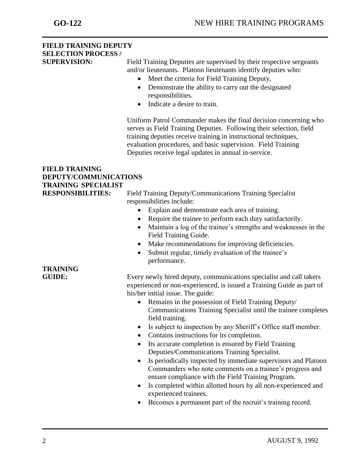## **FIELD TRAINING DEPUTY SELECTION PROCESS /**

**SUPERVISION:** Field Training Deputies are supervised by their respective sergeants and/or lieutenants. Platoon lieutenants identify deputies who:

- Meet the criteria for Field Training Deputy,
- Demonstrate the ability to carry out the designated responsibilities.
- Indicate a desire to train.

Uniform Patrol Commander makes the final decision concerning who serves as Field Training Deputies. Following their selection, field training deputies receive training in instructional techniques, evaluation procedures, and basic supervision. Field Training Deputies receive legal updates in annual in-service.

### **FIELD TRAINING DEPUTY/COMMUNICATIONS TRAINING SPECIALIST**

**RESPONSIBILITIES:** Field Training Deputy/Communications Training Specialist responsibilities include:

- Explain and demonstrate each area of training.
- Require the trainee to perform each duty satisfactorily.
- Maintain a log of the trainee's strengths and weaknesses in the Field Training Guide.
- Make recommendations for improving deficiencies.
- Submit regular, timely evaluation of the trainee's performance.

**GUIDE:** Every newly hired deputy, communications specialist and call takers experienced or non-experienced, is issued a Training Guide as part of his/her initial issue. The guide:

- Remains in the possession of Field Training Deputy/ Communications Training Specialist until the trainee completes field training.
- Is subject to inspection by any Sheriff's Office staff member.
- Contains instructions for its completion.
- Its accurate completion is ensured by Field Training Deputies/Communications Training Specialist.
- Is periodically inspected by immediate supervisors and Platoon Commanders who note comments on a trainee's progress and ensure compliance with the Field Training Program.
- Is completed within allotted hours by all non-experienced and experienced trainees.
- Becomes a permanent part of the recruit's training record.

# **TRAINING**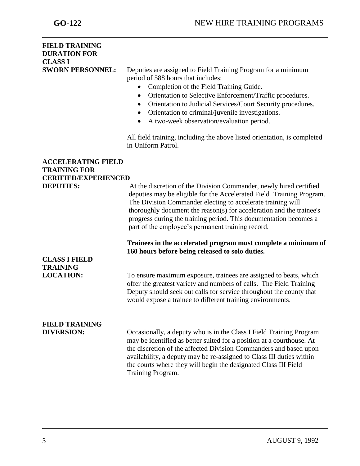### **FIELD TRAINING DURATION FOR CLASS I SWORN PERSONNEL:** Deputies are assigned to Field Training Program for a minimum period of 588 hours that includes: Completion of the Field Training Guide. Orientation to Selective Enforcement/Traffic procedures. Orientation to Judicial Services/Court Security procedures. Orientation to criminal/juvenile investigations. A two-week observation/evaluation period. All field training, including the above listed orientation, is completed in Uniform Patrol. **ACCELERATING FIELD TRAINING FOR CERIFIED/EXPERIENCED**

| CERIFIED/EXPERIENCED                    |                                                                                                                                                                                                                                                                                                                                                                                                             |
|-----------------------------------------|-------------------------------------------------------------------------------------------------------------------------------------------------------------------------------------------------------------------------------------------------------------------------------------------------------------------------------------------------------------------------------------------------------------|
| <b>DEPUTIES:</b>                        | At the discretion of the Division Commander, newly hired certified<br>deputies may be eligible for the Accelerated Field Training Program.<br>The Division Commander electing to accelerate training will<br>thoroughly document the reason(s) for acceleration and the trainee's<br>progress during the training period. This documentation becomes a<br>part of the employee's permanent training record. |
|                                         | Trainees in the accelerated program must complete a minimum of<br>160 hours before being released to solo duties.                                                                                                                                                                                                                                                                                           |
| <b>CLASS I FIELD</b><br><b>TRAINING</b> |                                                                                                                                                                                                                                                                                                                                                                                                             |
| <b>LOCATION:</b>                        | To ensure maximum exposure, trainees are assigned to beats, which<br>offer the greatest variety and numbers of calls. The Field Training<br>Deputy should seek out calls for service throughout the county that<br>would expose a trainee to different training environments.                                                                                                                               |
| <b>FIELD TRAINING</b>                   |                                                                                                                                                                                                                                                                                                                                                                                                             |
| <b>DIVERSION:</b>                       | Occasionally, a deputy who is in the Class I Field Training Program<br>may be identified as better suited for a position at a courthouse. At<br>the discretion of the affected Division Commanders and based upon<br>availability, a deputy may be re-assigned to Class III duties within<br>the courts where they will begin the designated Class III Field<br>Training Program.                           |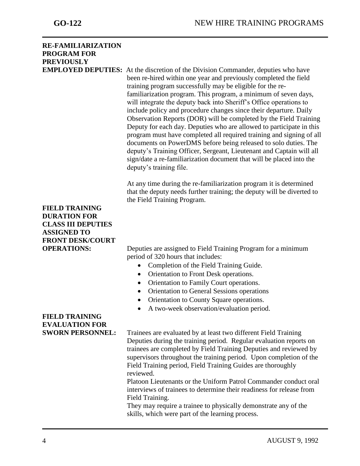| <b>RE-FAMILIARIZATION</b><br><b>PROGRAM FOR</b><br><b>PREVIOUSLY</b>                                                       | <b>EMPLOYED DEPUTIES:</b> At the discretion of the Division Commander, deputies who have<br>been re-hired within one year and previously completed the field<br>training program successfully may be eligible for the re-<br>familiarization program. This program, a minimum of seven days,                                                                                                                                                                                                                                                                                                               |
|----------------------------------------------------------------------------------------------------------------------------|------------------------------------------------------------------------------------------------------------------------------------------------------------------------------------------------------------------------------------------------------------------------------------------------------------------------------------------------------------------------------------------------------------------------------------------------------------------------------------------------------------------------------------------------------------------------------------------------------------|
|                                                                                                                            | will integrate the deputy back into Sheriff's Office operations to<br>include policy and procedure changes since their departure. Daily<br>Observation Reports (DOR) will be completed by the Field Training<br>Deputy for each day. Deputies who are allowed to participate in this<br>program must have completed all required training and signing of all<br>documents on PowerDMS before being released to solo duties. The<br>deputy's Training Officer, Sergeant, Lieutenant and Captain will all<br>sign/date a re-familiarization document that will be placed into the<br>deputy's training file. |
|                                                                                                                            | At any time during the re-familiarization program it is determined<br>that the deputy needs further training; the deputy will be diverted to<br>the Field Training Program.                                                                                                                                                                                                                                                                                                                                                                                                                                |
| <b>FIELD TRAINING</b><br><b>DURATION FOR</b><br><b>CLASS III DEPUTIES</b><br><b>ASSIGNED TO</b><br><b>FRONT DESK/COURT</b> |                                                                                                                                                                                                                                                                                                                                                                                                                                                                                                                                                                                                            |
| <b>OPERATIONS:</b>                                                                                                         | Deputies are assigned to Field Training Program for a minimum<br>period of 320 hours that includes:                                                                                                                                                                                                                                                                                                                                                                                                                                                                                                        |
|                                                                                                                            | Completion of the Field Training Guide.                                                                                                                                                                                                                                                                                                                                                                                                                                                                                                                                                                    |
|                                                                                                                            | Orientation to Front Desk operations.<br>$\bullet$                                                                                                                                                                                                                                                                                                                                                                                                                                                                                                                                                         |
|                                                                                                                            | Orientation to Family Court operations.                                                                                                                                                                                                                                                                                                                                                                                                                                                                                                                                                                    |
|                                                                                                                            | Orientation to General Sessions operations                                                                                                                                                                                                                                                                                                                                                                                                                                                                                                                                                                 |
|                                                                                                                            | Orientation to County Square operations.                                                                                                                                                                                                                                                                                                                                                                                                                                                                                                                                                                   |
|                                                                                                                            | A two-week observation/evaluation period.                                                                                                                                                                                                                                                                                                                                                                                                                                                                                                                                                                  |
| <b>FIELD TRAINING</b>                                                                                                      |                                                                                                                                                                                                                                                                                                                                                                                                                                                                                                                                                                                                            |
| <b>EVALUATION FOR</b>                                                                                                      |                                                                                                                                                                                                                                                                                                                                                                                                                                                                                                                                                                                                            |
| <b>SWORN PERSONNEL:</b>                                                                                                    | Trainees are evaluated by at least two different Field Training<br>Deputies during the training period. Regular evaluation reports on<br>trainees are completed by Field Training Deputies and reviewed by<br>supervisors throughout the training period. Upon completion of the<br>Field Training period, Field Training Guides are thoroughly                                                                                                                                                                                                                                                            |
|                                                                                                                            | reviewed.<br>Platoon Lieutenants or the Uniform Patrol Commander conduct oral<br>interviews of trainees to determine their readiness for release from<br>Field Training.                                                                                                                                                                                                                                                                                                                                                                                                                                   |
|                                                                                                                            | They may require a trainee to physically demonstrate any of the<br>skills, which were part of the learning process.                                                                                                                                                                                                                                                                                                                                                                                                                                                                                        |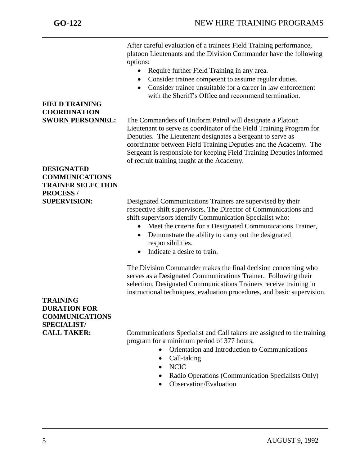After careful evaluation of a trainees Field Training performance, platoon Lieutenants and the Division Commander have the following options:

- Require further Field Training in any area.
- Consider trainee competent to assume regular duties.
- Consider trainee unsuitable for a career in law enforcement with the Sheriff's Office and recommend termination.

**FIELD TRAINING COORDINATION**

**SWORN PERSONNEL:** The Commanders of Uniform Patrol will designate a Platoon Lieutenant to serve as coordinator of the Field Training Program for Deputies. The Lieutenant designates a Sergeant to serve as coordinator between Field Training Deputies and the Academy. The Sergeant is responsible for keeping Field Training Deputies informed of recruit training taught at the Academy.

### **DESIGNATED COMMUNICATIONS TRAINER SELECTION PROCESS /**

**SUPERVISION:** Designated Communications Trainers are supervised by their respective shift supervisors. The Director of Communications and shift supervisors identify Communication Specialist who:

- Meet the criteria for a Designated Communications Trainer,
- Demonstrate the ability to carry out the designated responsibilities.
- Indicate a desire to train.

The Division Commander makes the final decision concerning who serves as a Designated Communications Trainer. Following their selection, Designated Communications Trainers receive training in instructional techniques, evaluation procedures, and basic supervision.

### **TRAINING DURATION FOR COMMUNICATIONS SPECIALIST/**

**CALL TAKER:** Communications Specialist and Call takers are assigned to the training program for a minimum period of 377 hours,

- Orientation and Introduction to Communications
- Call-taking
- NCIC
- Radio Operations (Communication Specialists Only)
- Observation/Evaluation